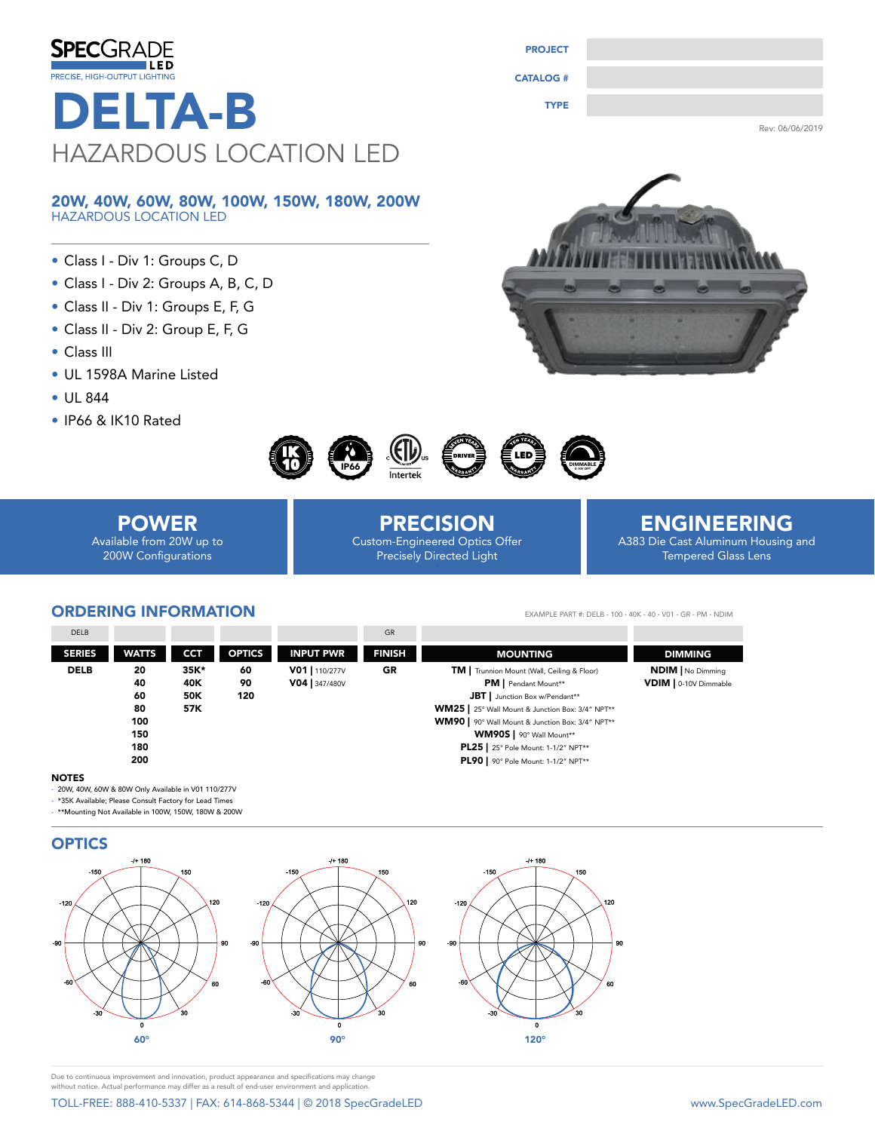| <b>SPECGRADE</b>                      | <b>PROJECT</b>   |                 |
|---------------------------------------|------------------|-----------------|
| ILED<br>PRECISE, HIGH-OUTPUT LIGHTING | <b>CATALOG #</b> |                 |
| <b>DELTA-B</b>                        | <b>TYPE</b>      |                 |
|                                       |                  | Rev: 06/06/2019 |
| HAZARDOUS LOCATION LED                |                  |                 |

#### 20W, 40W, 60W, 80W, 100W, 150W, 180W, 200W HAZARDOUS LOCATION LED

- Class I Div 1: Groups C, D
- Class I Div 2: Groups A, B, C, D
- Class II Div 1: Groups E, F, G
- Class II Div 2: Group E, F, G
- Class III
- UL 1598A Marine Listed
- UL 844
- IP66 & IK10 Rated





# POWER

Available from 20W up to 200W Configurations

PRECISION Custom-Engineered Optics Offer Precisely Directed Light

## ENGINEERING A383 Die Cast Aluminum Housing and

Tempered Glass Lens

### ORDERING INFORMATION

DIMMING NDIM | No Dimming VDIM | 0-10V Dimmable DELB 20 35K\* 60 90 120 20 35K\* 60 V01 | 110/277V GR 40 60 80 100 150 180 200 SERIES WATTS CCT OPTICS INPUT PWR FINISH EXAMPLE PART #: DELB - 100 - 40K - 40 - V01 - GR - PM - NDIM DELB GREEK GREEK IN 1999 ON 1999 HET GREEK GREEK GREEK GREEK GREEK GREEK GREEK GREEK GREEK GREEK GREEK GREEK G **V04** | 347/480V TM | Trunnion Mount (Wall, Ceiling & Floor) PM | Pendant Mount\*\* JBT | Junction Box w/Pendant\*\* WM25 | 25° Wall Mount & Junction Box: 3/4" NPT\*\* WM90 | 90° Wall Mount & Junction Box: 3/4" NPT\*\* WM90S | 90° Wall Mount\*\* PL25 | 25° Pole Mount: 1-1/2" NPT\*\* PL90 | 90° Pole Mount: 1-1/2" NPT\*\* MOUNTING 35K\* 40K 50K 57K

#### **NOTES**

- 20W, 40W, 60W & 80W Only Available in V01 110/277V

- \*35K Available; Please Consult Factory for Lead Times

- \*\*Mounting Not Available in 100W, 150W, 180W & 200W



Due to continuous improvement and innovation, product appearance and specifications may change without notice. Actual performance may differ as a result of end-user environment and application.

# TOLL-FREE: 888-410-5337 | FAX: 614-868-5344 | © 2018 SpecGradeLED www.SpecGradeLED.com